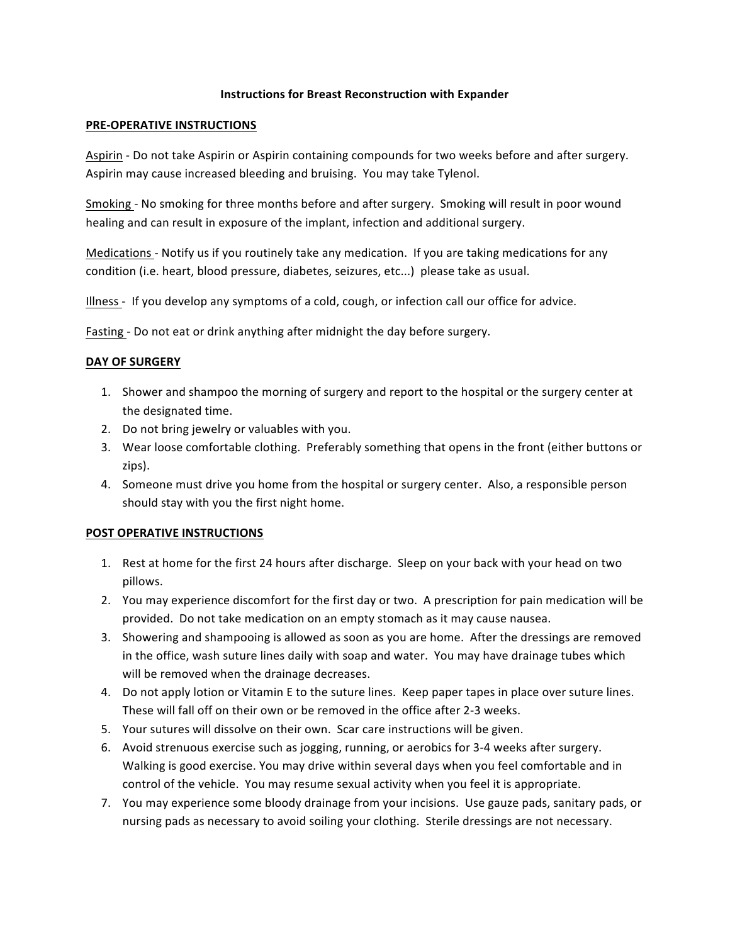### **Instructions for Breast Reconstruction with Expander**

### **PRE-OPERATIVE INSTRUCTIONS**

Aspirin - Do not take Aspirin or Aspirin containing compounds for two weeks before and after surgery. Aspirin may cause increased bleeding and bruising. You may take Tylenol.

Smoking - No smoking for three months before and after surgery. Smoking will result in poor wound healing and can result in exposure of the implant, infection and additional surgery.

Medications - Notify us if you routinely take any medication. If you are taking medications for any condition (i.e. heart, blood pressure, diabetes, seizures, etc...) please take as usual.

Illness - If you develop any symptoms of a cold, cough, or infection call our office for advice.

Fasting - Do not eat or drink anything after midnight the day before surgery.

### **DAY OF SURGERY**

- 1. Shower and shampoo the morning of surgery and report to the hospital or the surgery center at the designated time.
- 2. Do not bring jewelry or valuables with you.
- 3. Wear loose comfortable clothing. Preferably something that opens in the front (either buttons or zips).
- 4. Someone must drive you home from the hospital or surgery center. Also, a responsible person should stay with you the first night home.

## **POST OPERATIVE INSTRUCTIONS**

- 1. Rest at home for the first 24 hours after discharge. Sleep on your back with your head on two pillows.
- 2. You may experience discomfort for the first day or two. A prescription for pain medication will be provided. Do not take medication on an empty stomach as it may cause nausea.
- 3. Showering and shampooing is allowed as soon as you are home. After the dressings are removed in the office, wash suture lines daily with soap and water. You may have drainage tubes which will be removed when the drainage decreases.
- 4. Do not apply lotion or Vitamin E to the suture lines. Keep paper tapes in place over suture lines. These will fall off on their own or be removed in the office after 2-3 weeks.
- 5. Your sutures will dissolve on their own. Scar care instructions will be given.
- 6. Avoid strenuous exercise such as jogging, running, or aerobics for 3-4 weeks after surgery. Walking is good exercise. You may drive within several days when you feel comfortable and in control of the vehicle. You may resume sexual activity when you feel it is appropriate.
- 7. You may experience some bloody drainage from your incisions. Use gauze pads, sanitary pads, or nursing pads as necessary to avoid soiling your clothing. Sterile dressings are not necessary.